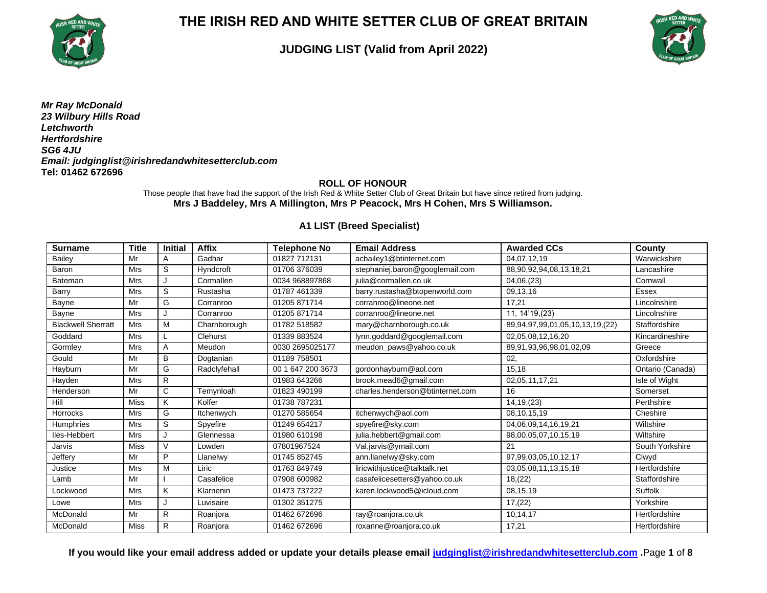

### **JUDGING LIST (Valid from April 2022)**



*Mr Ray McDonald 23 Wilbury Hills Road Letchworth Hertfordshire SG6 4JU Email: judginglist@irishredandwhitesetterclub.com* **Tel: 01462 672696**

**ROLL OF HONOUR**

Those people that have had the support of the Irish Red & White Setter Club of Great Britain but have since retired from judging. **Mrs J Baddeley, Mrs A Millington, Mrs P Peacock, Mrs H Cohen, Mrs S Williamson.**

#### **A1 LIST (Breed Specialist)**

| <b>Surname</b>            | <b>Title</b> | <b>Initial</b> | <b>Affix</b> | <b>Telephone No</b> | <b>Email Address</b>             | <b>Awarded CCs</b>              | County           |
|---------------------------|--------------|----------------|--------------|---------------------|----------------------------------|---------------------------------|------------------|
| <b>Bailey</b>             | Mr           | $\mathsf{A}$   | Gadhar       | 01827 712131        | acbailey1@btinternet.com         | 04,07,12,19                     | Warwickshire     |
| Baron                     | <b>Mrs</b>   | S              | Hyndcroft    | 01706 376039        | stephaniej.baron@googlemail.com  | 88,90,92,94,08,13,18,21         | Lancashire       |
| Bateman                   | <b>Mrs</b>   |                | Cormallen    | 0034 968897868      | julia@cormallen.co.uk            | 04,06,(23)                      | Cornwall         |
| Barry                     | <b>Mrs</b>   | S              | Rustasha     | 01787 461339        | barry.rustasha@btopenworld.com   | 09,13,16                        | Essex            |
| Bayne                     | Mr           | G              | Corranroo    | 01205 871714        | corranroo@lineone.net            | 17,21                           | Lincolnshire     |
| Bayne                     | <b>Mrs</b>   |                | Corranroo    | 01205 871714        | corranroo@lineone.net            | 11, 14'19, (23)                 | Lincolnshire     |
| <b>Blackwell Sherratt</b> | <b>Mrs</b>   | M              | Charnborough | 01782 518582        | mary@charnborough.co.uk          | 89,94,97,99,01,05,10,13,19,(22) | Staffordshire    |
| Goddard                   | <b>Mrs</b>   |                | Clehurst     | 01339 883524        | lynn.goddard@googlemail.com      | 02,05,08,12,16,20               | Kincardineshire  |
| Gormley                   | <b>Mrs</b>   | A              | Meudon       | 0030 2695025177     | meudon_paws@yahoo.co.uk          | 89,91,93,96,98,01,02,09         | Greece           |
| Gould                     | Mr           | B              | Dogtanian    | 01189 758501        |                                  | 02,                             | Oxfordshire      |
| Hayburn                   | Mr           | G              | Radclyfehall | 00 1 647 200 3673   | gordonhayburn@aol.com            | 15.18                           | Ontario (Canada) |
| Hayden                    | <b>Mrs</b>   | $\mathsf{R}$   |              | 01983 643266        | brook.mead6@gmail.com            | 02,05,11,17,21                  | Isle of Wight    |
| Henderson                 | Mr           | $\mathsf C$    | Temynloah    | 01823 490199        | charles.henderson@btinternet.com | 16                              | Somerset         |
| Hill                      | <b>Miss</b>  | K              | Kolfer       | 01738 787231        |                                  | 14, 19, (23)                    | Perthshire       |
| <b>Horrocks</b>           | <b>Mrs</b>   | G              | Itchenwych   | 01270 585654        | itchenwych@aol.com               | 08,10,15,19                     | Cheshire         |
| <b>Humphries</b>          | <b>Mrs</b>   | S              | Spyefire     | 01249 654217        | spyefire@sky.com                 | 04,06,09,14,16,19,21            | Wiltshire        |
| lles-Hebbert              | <b>Mrs</b>   | J              | Glennessa    | 01980 610198        | julia.hebbert@gmail.com          | 98,00,05,07,10,15,19            | Wiltshire        |
| Jarvis                    | <b>Miss</b>  | $\vee$         | Lowden       | 07801967524         | Val.jarvis@ymail.com             | 21                              | South Yorkshire  |
| Jeffery                   | Mr           | P              | Llanelwv     | 01745 852745        | ann.llanelwy@sky.com             | 97,99,03,05,10,12,17            | Clwyd            |
| Justice                   | <b>Mrs</b>   | M              | Liric        | 01763 849749        | liricwithjustice@talktalk.net    | 03,05,08,11,13,15,18            | Hertfordshire    |
| Lamb                      | Mr           |                | Casafelice   | 07908 600982        | casafelicesetters@yahoo.co.uk    | 18, (22)                        | Staffordshire    |
| Lockwood                  | <b>Mrs</b>   | K              | Klarnenin    | 01473 737222        | karen.lockwood5@icloud.com       | 08,15,19                        | Suffolk          |
| Lowe                      | <b>Mrs</b>   | J              | Luvisaire    | 01302 351275        |                                  | 17,(22)                         | Yorkshire        |
| McDonald                  | Mr           | R              | Roanjora     | 01462 672696        | ray@roanjora.co.uk               | 10,14,17                        | Hertfordshire    |
| McDonald                  | <b>Miss</b>  | $\mathsf{R}$   | Roanjora     | 01462 672696        | roxanne@roanjora.co.uk           | 17.21                           | Hertfordshire    |

**If you would like your email address added or update your details please email [judginglist@irishredandwhitesetterclub.com](mailto:judginglist@irishredandwhitesetterclub.com) .**Page **1** of **8**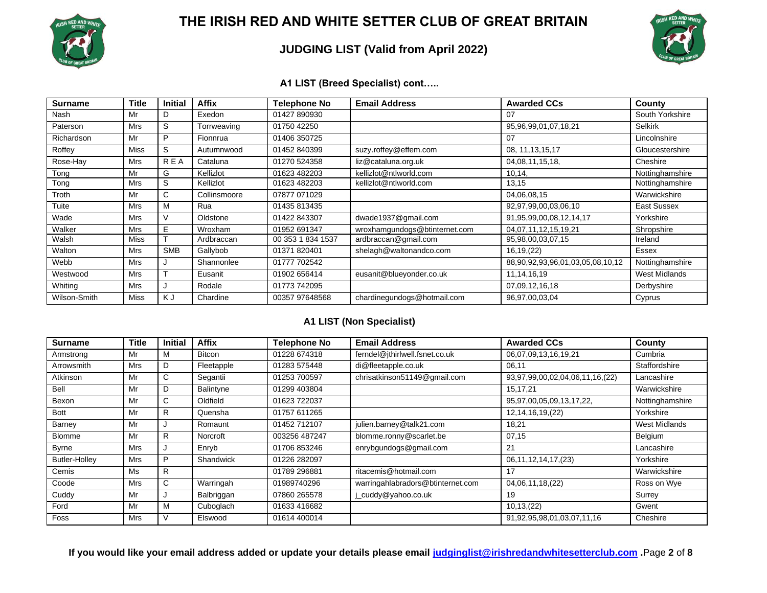

### **JUDGING LIST (Valid from April 2022)**



#### **A1 LIST (Breed Specialist) cont…..**

| <b>Surname</b> | Title       | <b>Initial</b> | <b>Affix</b> | <b>Telephone No</b> | <b>Email Address</b>          | <b>Awarded CCs</b>               | County               |
|----------------|-------------|----------------|--------------|---------------------|-------------------------------|----------------------------------|----------------------|
| Nash           | Mr          | D              | Exedon       | 01427 890930        |                               | 07                               | South Yorkshire      |
| Paterson       | Mrs         | S              | Torrweaving  | 01750 42250         |                               | 95,96,99,01,07,18,21             | <b>Selkirk</b>       |
| Richardson     | Mr          | P              | Fionnrua     | 01406 350725        |                               | 07                               | Lincolnshire         |
| Roffey         | <b>Miss</b> | S              | Autumnwood   | 01452 840399        | suzy.roffey@effem.com         | 08, 11, 13, 15, 17               | Gloucestershire      |
| Rose-Hay       | Mrs         | <b>REA</b>     | Cataluna     | 01270 524358        | liz@cataluna.org.uk           | 04,08,11,15,18,                  | Cheshire             |
| Tong           | Mr          | G              | Kellizlot    | 01623 482203        | kellizlot@ntlworld.com        | 10,14,                           | Nottinghamshire      |
| Tong           | <b>Mrs</b>  | S              | Kellizlot    | 01623 482203        | kellizlot@ntlworld.com        | 13,15                            | Nottinghamshire      |
| Troth          | Mr          | C.             | Collinsmoore | 07877 071029        |                               | 04,06,08,15                      | Warwickshire         |
| Tuite          | Mrs         | M              | Rua          | 01435 813435        |                               | 92,97,99,00,03,06,10             | East Sussex          |
| Wade           | Mrs         |                | Oldstone     | 01422 843307        | dwade1937@gmail.com           | 91,95,99,00,08,12,14,17          | Yorkshire            |
| Walker         | Mrs         | E              | Wroxham      | 01952 691347        | wroxhamgundogs@btinternet.com | 04,07,11,12,15,19,21             | Shropshire           |
| Walsh          | Miss        |                | Ardbraccan   | 00 353 1 834 1537   | ardbraccan@gmail.com          | 95,98,00,03,07,15                | Ireland              |
| Walton         | Mrs         | <b>SMB</b>     | Gallybob     | 01371 820401        | shelagh@waltonandco.com       | 16, 19, (22)                     | Essex                |
| Webb           | Mrs         |                | Shannonlee   | 01777 702542        |                               | 88,90,92,93,96,01,03,05,08,10,12 | Nottinghamshire      |
| Westwood       | Mrs         | ÷              | Eusanit      | 01902 656414        | eusanit@blueyonder.co.uk      | 11, 14, 16, 19                   | <b>West Midlands</b> |
| Whiting        | Mrs         |                | Rodale       | 01773 742095        |                               | 07,09,12,16,18                   | Derbyshire           |
| Wilson-Smith   | Miss        | K J            | Chardine     | 00357 97648568      | chardinegundogs@hotmail.com   | 96,97,00,03,04                   | Cyprus               |

### **A1 LIST (Non Specialist)**

| <b>Surname</b>       | Title      | <b>Initial</b> | <b>Affix</b>     | <b>Telephone No</b> | <b>Email Address</b>              | <b>Awarded CCs</b>                       | County          |
|----------------------|------------|----------------|------------------|---------------------|-----------------------------------|------------------------------------------|-----------------|
| Armstrong            | Mr         | M              | <b>Bitcon</b>    | 01228 674318        | ferndel@jthirlwell.fsnet.co.uk    | 06,07,09,13,16,19,21                     | Cumbria         |
| Arrowsmith           | <b>Mrs</b> | D              | Fleetapple       | 01283 575448        | di@fleetapple.co.uk               | 06,11                                    | Staffordshire   |
| Atkinson             | Mr         | C              | Segantii         | 01253 700597        | chrisatkinson51149@gmail.com      | 93, 97, 99, 00, 02, 04, 06, 11, 16, (22) | Lancashire      |
| Bell                 | Mr         | D              | Balintyne        | 01299 403804        |                                   | 15, 17, 21                               | Warwickshire    |
| Bexon                | Mr         | C              | Oldfield         | 01623 722037        |                                   | 95,97,00,05,09,13,17,22,                 | Nottinghamshire |
| Bott                 | Mr         | R              | Quensha          | 01757 611265        |                                   | 12, 14, 16, 19, (22)                     | Yorkshire       |
| Barney               | Mr         |                | Romaunt          | 01452 712107        | julien.barney@talk21.com          | 18,21                                    | West Midlands   |
| Blomme               | Mr         | R              | Norcroft         | 003256 487247       | blomme.ronny@scarlet.be           | 07,15                                    | Belgium         |
| <b>Byrne</b>         | <b>Mrs</b> | ٠J.            | Enryb            | 01706 853246        | enrybgundogs@gmail.com            | 21                                       | Lancashire      |
| <b>Butler-Holley</b> | <b>Mrs</b> | P              | <b>Shandwick</b> | 01226 282097        |                                   | 06, 11, 12, 14, 17, (23)                 | Yorkshire       |
| Cemis                | Ms         | R              |                  | 01789 296881        | ritacemis@hotmail.com             | 17                                       | Warwickshire    |
| Coode                | <b>Mrs</b> | C              | Warringah        | 01989740296         | warringahlabradors@btinternet.com | 04,06,11,18,(22)                         | Ross on Wye     |
| Cuddy                | Mr         | J.             | Balbriggan       | 07860 265578        | _cuddy@yahoo.co.uk                | 19                                       | Surrey          |
| Ford                 | Mr         | M              | Cuboglach        | 01633 416682        |                                   | 10, 13, (22)                             | Gwent           |
| Foss                 | <b>Mrs</b> |                | Elswood          | 01614 400014        |                                   | 91,92,95,98,01,03,07,11,16               | Cheshire        |

**If you would like your email address added or update your details please email [judginglist@irishredandwhitesetterclub.com](mailto:judginglist@irishredandwhitesetterclub.com) .**Page **2** of **8**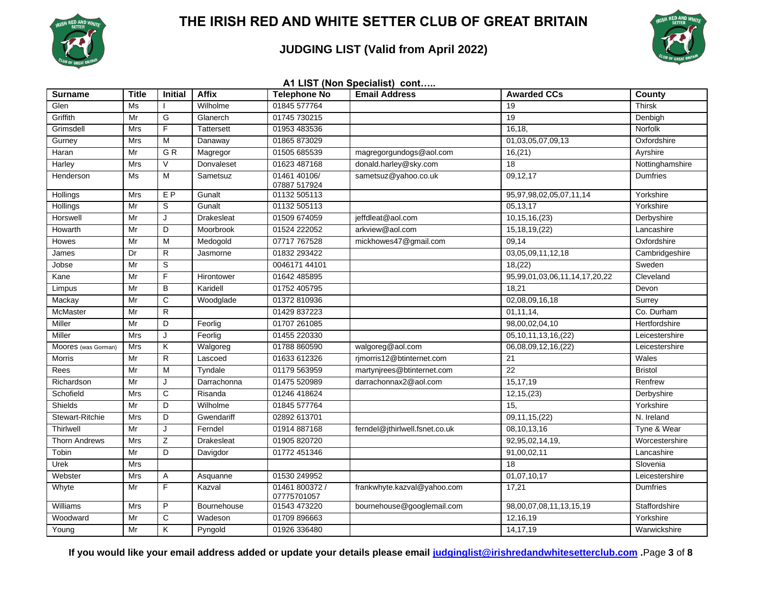

### **JUDGING LIST (Valid from April 2022)**



| A1 LIST (Non Specialist) cont |              |                |                   |                               |                                |                                |                 |  |  |  |  |
|-------------------------------|--------------|----------------|-------------------|-------------------------------|--------------------------------|--------------------------------|-----------------|--|--|--|--|
| <b>Surname</b>                | <b>Title</b> | <b>Initial</b> | <b>Affix</b>      | <b>Telephone No</b>           | <b>Email Address</b>           | <b>Awarded CCs</b>             | County          |  |  |  |  |
| Glen                          | Ms           |                | Wilholme          | 01845 577764                  |                                | 19                             | <b>Thirsk</b>   |  |  |  |  |
| Griffith                      | Mr           | G              | Glanerch          | 01745 730215                  |                                | 19                             | Denbigh         |  |  |  |  |
| Grimsdell                     | Mrs          | F              | <b>Tattersett</b> | 01953 483536                  |                                | 16,18,                         | Norfolk         |  |  |  |  |
| Gurney                        | <b>Mrs</b>   | M              | Danaway           | 01865 873029                  |                                | 01,03,05,07,09,13              | Oxfordshire     |  |  |  |  |
| Haran                         | Mr           | GR             | Magregor          | 01505 685539                  | magregorgundogs@aol.com        | 16, (21)                       | Ayrshire        |  |  |  |  |
| Harley                        | Mrs          | $\vee$         | Donvaleset        | 01623 487168                  | donald.harley@sky.com          | 18                             | Nottinghamshire |  |  |  |  |
| Henderson                     | Ms           | M              | Sametsuz          | 01461 40106/<br>07887 517924  | sametsuz@yahoo.co.uk           | 09,12,17                       | <b>Dumfries</b> |  |  |  |  |
| <b>Hollings</b>               | <b>Mrs</b>   | E <sub>P</sub> | Gunalt            | 01132 505113                  |                                | 95, 97, 98, 02, 05, 07, 11, 14 | Yorkshire       |  |  |  |  |
| Hollings                      | Mr           | S              | Gunalt            | 01132 505113                  |                                | 05,13,17                       | Yorkshire       |  |  |  |  |
| Horswell                      | Mr           | J              | <b>Drakesleat</b> | 01509 674059                  | jeffdleat@aol.com              | 10, 15, 16, (23)               | Derbyshire      |  |  |  |  |
| Howarth                       | Mr           | D              | Moorbrook         | 01524 222052                  | arkview@aol.com                | 15, 18, 19, (22)               | Lancashire      |  |  |  |  |
| Howes                         | Mr           | M              | Medogold          | 07717 767528                  | mickhowes47@gmail.com          | 09,14                          | Oxfordshire     |  |  |  |  |
| James                         | Dr           | $\mathsf{R}$   | Jasmorne          | 01832 293422                  |                                | 03,05,09,11,12,18              | Cambridgeshire  |  |  |  |  |
| Jobse                         | Mr           | S              |                   | 0046171 44101                 |                                | 18, (22)                       | Sweden          |  |  |  |  |
| Kane                          | Mr           | F              | Hirontower        | 01642 485895                  |                                | 95,99,01,03,06,11,14,17,20,22  | Cleveland       |  |  |  |  |
| Limpus                        | Mr           | B              | Karidell          | 01752 405795                  |                                | 18,21                          | Devon           |  |  |  |  |
| Mackay                        | Mr           | $\mathbf C$    | Woodglade         | 01372 810936                  |                                | 02,08,09,16,18                 | Surrey          |  |  |  |  |
| <b>McMaster</b>               | Mr           | $\mathsf{R}$   |                   | 01429 837223                  |                                | 01,11,14,                      | Co. Durham      |  |  |  |  |
| Miller                        | Mr           | D              | Feorlig           | 01707 261085                  |                                | 98,00,02,04,10                 | Hertfordshire   |  |  |  |  |
| Miller                        | Mrs          | J              | Feorlig           | 01455 220330                  |                                | 05, 10, 11, 13, 16, (22)       | Leicestershire  |  |  |  |  |
| Moores (was Gorman)           | <b>Mrs</b>   | Κ              | Walgoreg          | 01788 860590                  | walgoreg@aol.com               | 06,08,09,12,16,(22)            | Leicestershire  |  |  |  |  |
| Morris                        | Mr           | R              | Lascoed           | 01633 612326                  | rjmorris12@btinternet.com      | 21                             | Wales           |  |  |  |  |
| Rees                          | Mr           | M              | Tyndale           | 01179 563959                  | martynjrees@btinternet.com     | 22                             | <b>Bristol</b>  |  |  |  |  |
| Richardson                    | Mr           | J              | Darrachonna       | 01475 520989                  | darrachonnax2@aol.com          | 15,17,19                       | Renfrew         |  |  |  |  |
| Schofield                     | <b>Mrs</b>   | C              | Risanda           | 01246 418624                  |                                | 12, 15, (23)                   | Derbyshire      |  |  |  |  |
| Shields                       | Mr           | D              | Wilholme          | 01845 577764                  |                                | 15,                            | Yorkshire       |  |  |  |  |
| Stewart-Ritchie               | <b>Mrs</b>   | D              | Gwendariff        | 02892 613701                  |                                | 09, 11, 15, (22)               | N. Ireland      |  |  |  |  |
| Thirlwell                     | Mr           | $\mathsf{J}$   | Ferndel           | 01914 887168                  | ferndel@jthirlwell.fsnet.co.uk | 08, 10, 13, 16                 | Tyne & Wear     |  |  |  |  |
| <b>Thorn Andrews</b>          | <b>Mrs</b>   | Ζ              | <b>Drakesleat</b> | 01905 820720                  |                                | 92,95,02,14,19,                | Worcestershire  |  |  |  |  |
| Tobin                         | Mr           | D              | Davigdor          | 01772 451346                  |                                | 91,00,02,11                    | Lancashire      |  |  |  |  |
| Urek                          | Mrs          |                |                   |                               |                                | 18                             | Slovenia        |  |  |  |  |
| Webster                       | Mrs          | Α              | Asquanne          | 01530 249952                  |                                | 01,07,10,17                    | Leicestershire  |  |  |  |  |
| Whyte                         | Mr           | F              | Kazval            | 01461 800372 /<br>07775701057 | frankwhyte.kazval@yahoo.com    | 17,21                          | Dumfries        |  |  |  |  |
| Williams                      | <b>Mrs</b>   | P              | Bournehouse       | 01543 473220                  | bournehouse@googlemail.com     | 98,00,07,08,11,13,15,19        | Staffordshire   |  |  |  |  |
| Woodward                      | Mr           | C              | Wadeson           | 01709 896663                  |                                | 12,16,19                       | Yorkshire       |  |  |  |  |
| Young                         | Mr           | Κ              | Pyngold           | 01926 336480                  |                                | 14, 17, 19                     | Warwickshire    |  |  |  |  |

**If you would like your email address added or update your details please email [judginglist@irishredandwhitesetterclub.com](mailto:judginglist@irishredandwhitesetterclub.com) .**Page **3** of **8**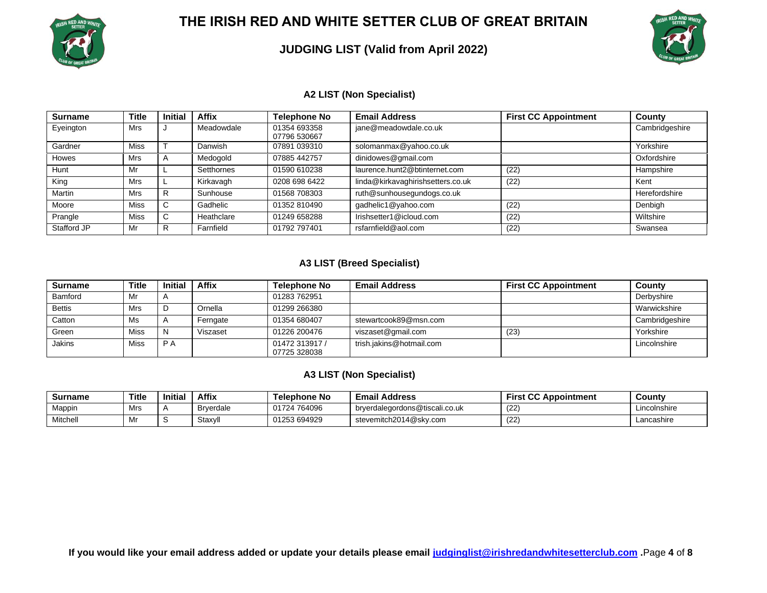

### **JUDGING LIST (Valid from April 2022)**



#### **A2 LIST (Non Specialist)**

| <b>Surname</b> | <b>Title</b> | <b>Initial</b> | <b>Affix</b> | <b>Telephone No</b>          | <b>Email Address</b>              | <b>First CC Appointment</b> | County         |
|----------------|--------------|----------------|--------------|------------------------------|-----------------------------------|-----------------------------|----------------|
| Eyeington      | Mrs          |                | Meadowdale   | 01354 693358<br>07796 530667 | jane@meadowdale.co.uk             |                             | Cambridgeshire |
| Gardner        | Miss         |                | Danwish      | 07891 039310                 | solomanmax@yahoo.co.uk            |                             | Yorkshire      |
| <b>Howes</b>   | Mrs          |                | Medogold     | 07885 442757                 | dinidowes@gmail.com               |                             | Oxfordshire    |
| Hunt           | Mr           |                | Setthornes   | 01590 610238                 | laurence.hunt2@btinternet.com     | (22)                        | Hampshire      |
| King           | Mrs          |                | Kirkavagh    | 0208 698 6422                | linda@kirkavaghirishsetters.co.uk | (22)                        | Kent           |
| Martin         | Mrs          |                | Sunhouse     | 01568 708303                 | ruth@sunhousegundogs.co.uk        |                             | Herefordshire  |
| Moore          | Miss         | ◡              | Gadhelic     | 01352 810490                 | gadhelic1@yahoo.com               | (22)                        | Denbigh        |
| Prangle        | <b>Miss</b>  | ◡              | Heathclare   | 01249 658288                 | Irishsetter1@icloud.com           | (22)                        | Wiltshire      |
| Stafford JP    | Mr           |                | Farnfield    | 01792 797401                 | rsfarnfield@aol.com               | (22)                        | Swansea        |

#### **A3 LIST (Breed Specialist)**

| <b>Surname</b> | Title | <b>Initial</b> | <b>Affix</b> | Telephone No                   | <b>Email Address</b>     | <b>First CC Appointment</b> | County         |
|----------------|-------|----------------|--------------|--------------------------------|--------------------------|-----------------------------|----------------|
| Bamford        | Mr    |                |              | 01283 762951                   |                          |                             | Derbyshire     |
| <b>Bettis</b>  | Mrs   | ◡              | Ornella      | 01299 266380                   |                          |                             | Warwickshire   |
| Catton         | Ms    |                | Ferngate     | 01354 680407                   | stewartcook89@msn.com    |                             | Cambridgeshire |
| Green          | Miss  | N              | Viszaset     | 01226 200476                   | viszaset@gmail.com       | (23)                        | Yorkshire      |
| <b>Jakins</b>  | Miss  | P A            |              | 01472 313917 /<br>07725 328038 | trish.jakins@hotmail.com |                             | Lincolnshire   |

#### **A3 LIST (Non Specialist)**

| Surname  | Title | Initia | <b>Affix</b>     | Telephone No | <b>Email Address</b>           | $\sim$<br><b>First CC Appointment</b> | County       |
|----------|-------|--------|------------------|--------------|--------------------------------|---------------------------------------|--------------|
| Mappin   | Mrs   |        | <b>Brverdale</b> | 01724 764096 | brverdalegordons@tiscali.co.uk | (22)                                  | Lincolnshire |
| Mitchell | IVII  |        | Staxvl           | 01253 694929 | stevemitch2014@sky.com         | (22)                                  | Lancashire   |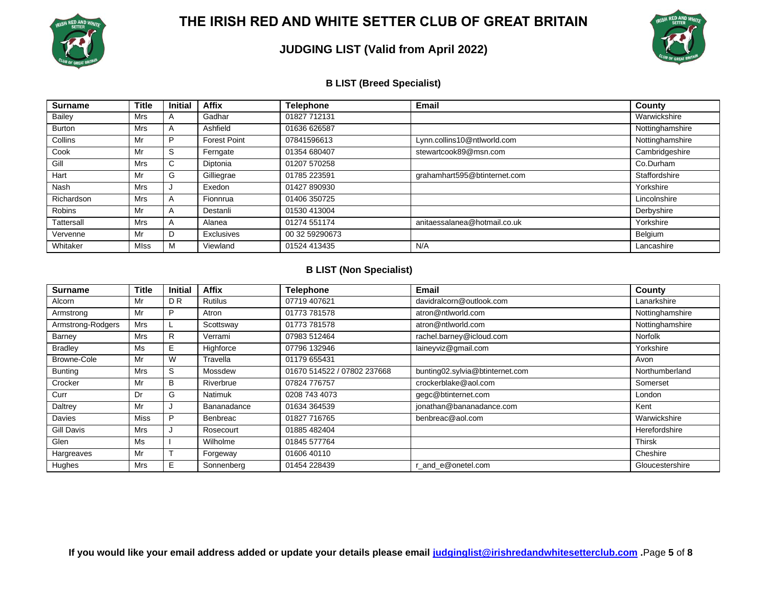

### **JUDGING LIST (Valid from April 2022)**



#### **B LIST (Breed Specialist)**

| <b>Surname</b> | Title       | <b>Initial</b> | <b>Affix</b>        | <b>Telephone</b> | <b>Email</b>                 | County          |
|----------------|-------------|----------------|---------------------|------------------|------------------------------|-----------------|
| Bailey         | <b>Mrs</b>  | $\mathsf{A}$   | Gadhar              | 01827 712131     |                              | Warwickshire    |
| <b>Burton</b>  | Mrs         | A              | Ashfield            | 01636 626587     |                              | Nottinghamshire |
| Collins        | Mr          | P              | <b>Forest Point</b> | 07841596613      | Lynn.collins10@ntlworld.com  | Nottinghamshire |
| Cook           | Mr          | S              | Ferngate            | 01354 680407     | stewartcook89@msn.com        | Cambridgeshire  |
| Gill           | <b>Mrs</b>  | C.             | Diptonia            | 01207 570258     |                              | Co.Durham       |
| Hart           | Mr          | G              | Gilliegrae          | 01785 223591     | grahamhart595@btinternet.com | Staffordshire   |
| Nash           | <b>Mrs</b>  |                | Exedon              | 01427 890930     |                              | Yorkshire       |
| Richardson     | <b>Mrs</b>  | A              | Fionnrua            | 01406 350725     |                              | Lincolnshire    |
| <b>Robins</b>  | Mr          | A              | Destanli            | 01530 413004     |                              | Derbyshire      |
| Tattersall     | Mrs         | A              | Alanea              | 01274 551174     | anitaessalanea@hotmail.co.uk | Yorkshire       |
| Vervenne       | Mr          | D              | Exclusives          | 00 32 59290673   |                              | Belgium         |
| Whitaker       | <b>MIss</b> | М              | Viewland            | 01524 413435     | N/A                          | Lancashire      |

#### **B LIST (Non Specialist)**

| <b>Surname</b>    | Title       | <b>Initial</b> | <b>Affix</b>   | <b>Telephone</b>            | Email                           | County          |
|-------------------|-------------|----------------|----------------|-----------------------------|---------------------------------|-----------------|
| Alcorn            | Mr          | D <sub>R</sub> | <b>Rutilus</b> | 07719 407621                | davidralcorn@outlook.com        | Lanarkshire     |
| Armstrong         | Mr          | P              | Atron          | 01773 781578                | atron@ntlworld.com              | Nottinghamshire |
| Armstrong-Rodgers | Mrs         |                | Scottsway      | 01773 781578                | atron@ntlworld.com              | Nottinghamshire |
| Barney            | <b>Mrs</b>  | R.             | Verrami        | 07983 512464                | rachel.barney@icloud.com        | <b>Norfolk</b>  |
| <b>Bradley</b>    | Ms          | Е              | Highforce      | 07796 132946                | laineyviz@gmail.com             | Yorkshire       |
| Browne-Cole       | Mr          | W              | Travella       | 01179 655431                |                                 | Avon            |
| <b>Bunting</b>    | Mrs         | S              | Mossdew        | 01670 514522 / 07802 237668 | bunting02.sylvia@btinternet.com | Northumberland  |
| Crocker           | Mr          | B              | Riverbrue      | 07824 776757                | crockerblake@aol.com            | Somerset        |
| Curr              | Dr          | G              | <b>Natimuk</b> | 0208 743 4073               | gegc@btinternet.com             | London          |
| Daltrey           | Mr          |                | Bananadance    | 01634 364539                | jonathan@bananadance.com        | Kent            |
| <b>Davies</b>     | <b>Miss</b> | P              | Benbreac       | 01827 716765                | benbreac@aol.com                | Warwickshire    |
| <b>Gill Davis</b> | Mrs         |                | Rosecourt      | 01885 482404                |                                 | Herefordshire   |
| Glen              | Ms          |                | Wilholme       | 01845 577764                |                                 | <b>Thirsk</b>   |
| Hargreaves        | Mr          |                | Forgeway       | 01606 40110                 |                                 | Cheshire        |
| <b>Hughes</b>     | Mrs         | Е              | Sonnenberg     | 01454 228439                | r and e@onetel.com              | Gloucestershire |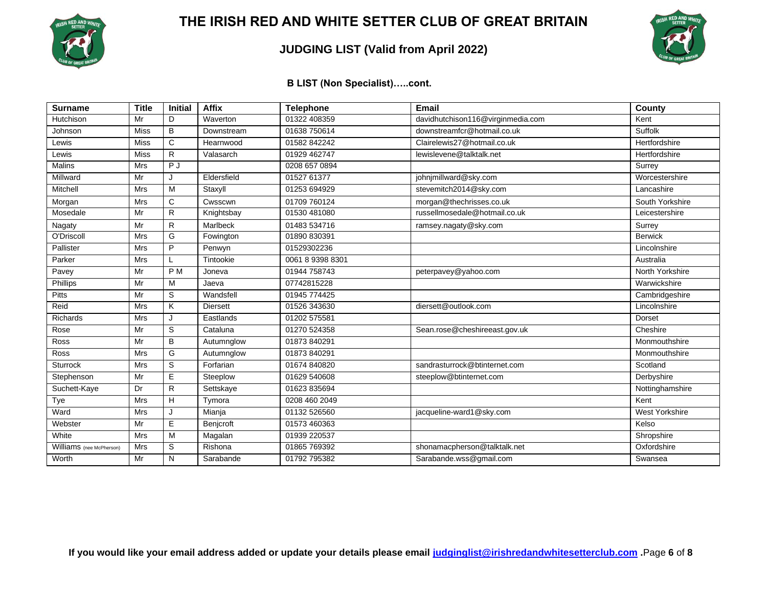

### **JUDGING LIST (Valid from April 2022)**



**B LIST (Non Specialist)…..cont.**

| <b>Surname</b>           | <b>Title</b> | <b>Initial</b> | <b>Affix</b>    | <b>Telephone</b> | Email                             | <b>County</b>         |
|--------------------------|--------------|----------------|-----------------|------------------|-----------------------------------|-----------------------|
| Hutchison                | Mr           | D              | Waverton        | 01322 408359     | davidhutchison116@virginmedia.com | Kent                  |
| Johnson                  | <b>Miss</b>  | B              | Downstream      | 01638 750614     | downstreamfcr@hotmail.co.uk       | Suffolk               |
| Lewis                    | <b>Miss</b>  | C              | Hearnwood       | 01582 842242     | Clairelewis27@hotmail.co.uk       | Hertfordshire         |
| Lewis                    | <b>Miss</b>  | ${\sf R}$      | Valasarch       | 01929 462747     | lewislevene@talktalk.net          | Hertfordshire         |
| <b>Malins</b>            | <b>Mrs</b>   | P J            |                 | 0208 657 0894    |                                   | Surrey                |
| Millward                 | Mr           | J              | Eldersfield     | 01527 61377      | johnjmillward@sky.com             | Worcestershire        |
| Mitchell                 | <b>Mrs</b>   | M              | Staxyll         | 01253 694929     | stevemitch2014@sky.com            | Lancashire            |
| Morgan                   | Mrs          | $\mathbf C$    | Cwsscwn         | 01709 760124     | morgan@thechrisses.co.uk          | South Yorkshire       |
| Mosedale                 | Mr           | R              | Knightsbay      | 01530 481080     | russellmosedale@hotmail.co.uk     | Leicestershire        |
| Nagaty                   | Mr           | $\mathsf{R}$   | Marlbeck        | 01483 534716     | ramsey.nagaty@sky.com             | Surrey                |
| O'Driscoll               | <b>Mrs</b>   | G              | Fowington       | 01890 830391     |                                   | <b>Berwick</b>        |
| Pallister                | <b>Mrs</b>   | P              | Penwyn          | 01529302236      |                                   | Lincolnshire          |
| Parker                   | <b>Mrs</b>   |                | Tintookie       | 0061 8 9398 8301 |                                   | Australia             |
| Pavey                    | Mr           | P <sub>M</sub> | Joneva          | 01944 758743     | peterpavey@yahoo.com              | North Yorkshire       |
| Phillips                 | Mr           | M              | Jaeva           | 07742815228      |                                   | Warwickshire          |
| <b>Pitts</b>             | Mr           | S              | Wandsfell       | 01945 774425     |                                   | Cambridgeshire        |
| Reid                     | Mrs          | Κ              | <b>Diersett</b> | 01526 343630     | diersett@outlook.com              | Lincolnshire          |
| <b>Richards</b>          | <b>Mrs</b>   | J              | Eastlands       | 01202 575581     |                                   | Dorset                |
| Rose                     | Mr           | S              | Cataluna        | 01270 524358     | Sean.rose@cheshireeast.gov.uk     | Cheshire              |
| Ross                     | Mr           | B              | Autumnglow      | 01873 840291     |                                   | Monmouthshire         |
| <b>Ross</b>              | <b>Mrs</b>   | G              | Autumnglow      | 01873 840291     |                                   | Monmouthshire         |
| <b>Sturrock</b>          | Mrs          | $\mathbb S$    | Forfarian       | 01674 840820     | sandrasturrock@btinternet.com     | Scotland              |
| Stephenson               | Mr           | E              | Steeplow        | 01629 540608     | steeplow@btinternet.com           | Derbyshire            |
| Suchett-Kaye             | Dr           | R              | Settskaye       | 01623 835694     |                                   | Nottinghamshire       |
| Tye                      | Mrs          | H              | Tymora          | 0208 460 2049    |                                   | Kent                  |
| Ward                     | <b>Mrs</b>   | J              | Mianja          | 01132 526560     | jacqueline-ward1@sky.com          | <b>West Yorkshire</b> |
| Webster                  | Mr           | $\overline{E}$ | Benjcroft       | 01573 460363     |                                   | Kelso                 |
| White                    | <b>Mrs</b>   | M              | Magalan         | 01939 220537     |                                   | Shropshire            |
| Williams (nee McPherson) | Mrs          | $\mathbb S$    | Rishona         | 01865 769392     | shonamacpherson@talktalk.net      | Oxfordshire           |
| Worth                    | Mr           | N              | Sarabande       | 01792 795382     | Sarabande.wss@gmail.com           | Swansea               |

**If you would like your email address added or update your details please email [judginglist@irishredandwhitesetterclub.com](mailto:judginglist@irishredandwhitesetterclub.com) .**Page **6** of **8**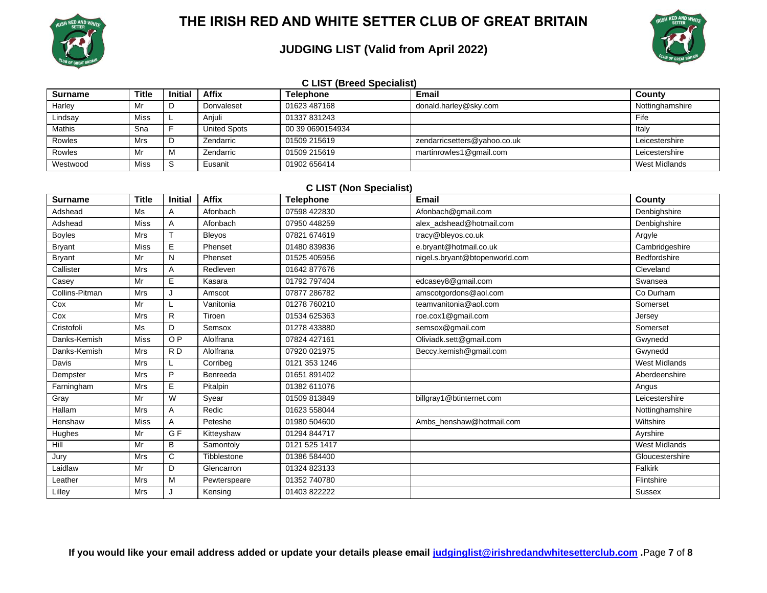

## **JUDGING LIST (Valid from April 2022)**



| <b>C LIST (Breed Specialist)</b> |              |         |                     |                  |                              |                 |  |  |  |
|----------------------------------|--------------|---------|---------------------|------------------|------------------------------|-----------------|--|--|--|
| <b>Surname</b>                   | <b>Title</b> | Initial | <b>Affix</b>        | <b>Telephone</b> | <b>Email</b>                 | County          |  |  |  |
| Harley                           | Mr           |         | Donvaleset          | 01623 487168     | donald.harley@sky.com        | Nottinghamshire |  |  |  |
| Lindsay                          | Miss         |         | Aniuli              | 01337 831243     |                              | Fife            |  |  |  |
| <b>Mathis</b>                    | Sna          |         | <b>United Spots</b> | 00 39 0690154934 |                              | Italy           |  |  |  |
| <b>Rowles</b>                    | Mrs          |         | Zendarric           | 01509 215619     | zendarricsetters@yahoo.co.uk | Leicestershire  |  |  |  |
| <b>Rowles</b>                    | Mr           | М       | Zendarric           | 01509 215619     | martinrowles1@gmail.com      | Leicestershire  |  |  |  |
| Westwood                         | Miss         |         | Eusanit             | 01902 656414     |                              | West Midlands   |  |  |  |

#### **C LIST (Non Specialist)**

| <b>Surname</b> | <b>Title</b> | Initial        | <b>Affix</b>  | <b>Telephone</b> | <b>Email</b>                   | County               |
|----------------|--------------|----------------|---------------|------------------|--------------------------------|----------------------|
| Adshead        | Ms           | A              | Afonbach      | 07598 422830     | Afonbach@gmail.com             | Denbighshire         |
| Adshead        | <b>Miss</b>  | A              | Afonbach      | 07950 448259     | alex_adshead@hotmail.com       | Denbighshire         |
| <b>Boyles</b>  | <b>Mrs</b>   | $\mathsf{T}$   | <b>Bleyos</b> | 07821 674619     | tracy@bleyos.co.uk             | Argyle               |
| <b>Bryant</b>  | <b>Miss</b>  | E              | Phenset       | 01480 839836     | e.bryant@hotmail.co.uk         | Cambridgeshire       |
| <b>Bryant</b>  | Mr           | N              | Phenset       | 01525 405956     | nigel.s.bryant@btopenworld.com | Bedfordshire         |
| Callister      | <b>Mrs</b>   | Α              | Redleven      | 01642 877676     |                                | Cleveland            |
| Casey          | Mr           | E.             | Kasara        | 01792 797404     | edcasey8@gmail.com             | Swansea              |
| Collins-Pitman | <b>Mrs</b>   | J              | Amscot        | 07877 286782     | amscotgordons@aol.com          | Co Durham            |
| Cox            | Mr           |                | Vanitonia     | 01278 760210     | teamvanitonia@aol.com          | Somerset             |
| Cox            | <b>Mrs</b>   | R              | Tiroen        | 01534 625363     | roe.cox1@gmail.com             | Jersey               |
| Cristofoli     | <b>Ms</b>    | D              | Semsox        | 01278 433880     | semsox@gmail.com               | Somerset             |
| Danks-Kemish   | <b>Miss</b>  | O <sub>P</sub> | Alolfrana     | 07824 427161     | Oliviadk.sett@gmail.com        | Gwynedd              |
| Danks-Kemish   | <b>Mrs</b>   | RD             | Alolfrana     | 07920 021975     | Beccy.kemish@gmail.com         | Gwynedd              |
| Davis          | <b>Mrs</b>   |                | Corribeg      | 0121 353 1246    |                                | <b>West Midlands</b> |
| Dempster       | <b>Mrs</b>   | P              | Benreeda      | 01651 891402     |                                | Aberdeenshire        |
| Farningham     | <b>Mrs</b>   | E.             | Pitalpin      | 01382 611076     |                                | Angus                |
| Gray           | Mr           | W              | Syear         | 01509 813849     | billgray1@btinternet.com       | Leicestershire       |
| Hallam         | <b>Mrs</b>   | A              | Redic         | 01623 558044     |                                | Nottinghamshire      |
| Henshaw        | <b>Miss</b>  | A              | Peteshe       | 01980 504600     | Ambs henshaw@hotmail.com       | Wiltshire            |
| Hughes         | Mr           | G <sub>F</sub> | Kitteyshaw    | 01294 844717     |                                | Ayrshire             |
| Hill           | Mr           | В              | Samontoly     | 0121 525 1417    |                                | <b>West Midlands</b> |
| Jury           | <b>Mrs</b>   | C              | Tibblestone   | 01386 584400     |                                | Gloucestershire      |
| Laidlaw        | Mr           | D              | Glencarron    | 01324 823133     |                                | Falkirk              |
| Leather        | Mrs          | M              | Pewterspeare  | 01352 740780     |                                | Flintshire           |
| Lilley         | <b>Mrs</b>   |                | Kensing       | 01403 822222     |                                | <b>Sussex</b>        |

**If you would like your email address added or update your details please email [judginglist@irishredandwhitesetterclub.com](mailto:judginglist@irishredandwhitesetterclub.com) .**Page **7** of **8**